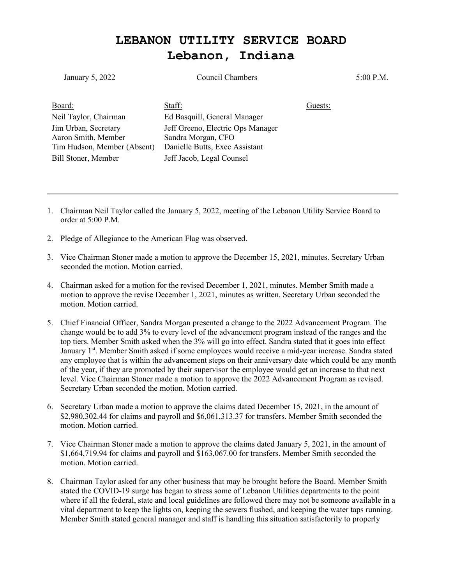## **LEBANON UTILITY SERVICE BOARD Lebanon, Indiana**

| January 5, 2022                               | Council Chambers                                                  |         | 5:00 P.M. |
|-----------------------------------------------|-------------------------------------------------------------------|---------|-----------|
| Board:                                        | Staff:                                                            | Guests: |           |
| Neil Taylor, Chairman<br>Jim Urban, Secretary | Ed Basquill, General Manager<br>Jeff Greeno, Electric Ops Manager |         |           |
| Aaron Smith, Member                           | Sandra Morgan, CFO                                                |         |           |
| Tim Hudson, Member (Absent)                   | Danielle Butts, Exec Assistant                                    |         |           |
| Bill Stoner, Member                           | Jeff Jacob, Legal Counsel                                         |         |           |

- 1. Chairman Neil Taylor called the January 5, 2022, meeting of the Lebanon Utility Service Board to order at 5:00 P.M.
- 2. Pledge of Allegiance to the American Flag was observed.
- 3. Vice Chairman Stoner made a motion to approve the December 15, 2021, minutes. Secretary Urban seconded the motion. Motion carried.
- 4. Chairman asked for a motion for the revised December 1, 2021, minutes. Member Smith made a motion to approve the revise December 1, 2021, minutes as written. Secretary Urban seconded the motion. Motion carried.
- 5. Chief Financial Officer, Sandra Morgan presented a change to the 2022 Advancement Program. The change would be to add 3% to every level of the advancement program instead of the ranges and the top tiers. Member Smith asked when the 3% will go into effect. Sandra stated that it goes into effect January 1<sup>st</sup>. Member Smith asked if some employees would receive a mid-year increase. Sandra stated any employee that is within the advancement steps on their anniversary date which could be any month of the year, if they are promoted by their supervisor the employee would get an increase to that next level. Vice Chairman Stoner made a motion to approve the 2022 Advancement Program as revised. Secretary Urban seconded the motion. Motion carried.
- 6. Secretary Urban made a motion to approve the claims dated December 15, 2021, in the amount of \$2,980,302.44 for claims and payroll and \$6,061,313.37 for transfers. Member Smith seconded the motion. Motion carried.
- 7. Vice Chairman Stoner made a motion to approve the claims dated January 5, 2021, in the amount of \$1,664,719.94 for claims and payroll and \$163,067.00 for transfers. Member Smith seconded the motion. Motion carried.
- 8. Chairman Taylor asked for any other business that may be brought before the Board. Member Smith stated the COVID-19 surge has began to stress some of Lebanon Utilities departments to the point where if all the federal, state and local guidelines are followed there may not be someone available in a vital department to keep the lights on, keeping the sewers flushed, and keeping the water taps running. Member Smith stated general manager and staff is handling this situation satisfactorily to properly